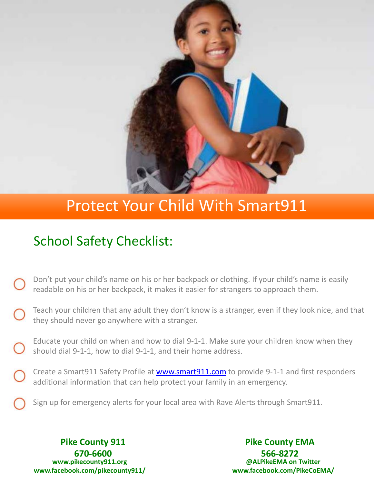

## Protect Your Child With Smart911

## School Safety Checklist:

- Don't put your child's name on his or her backpack or clothing. If your child's name is easily readable on his or her backpack, it makes it easier for strangers to approach them.
- Teach your children that any adult they don't know is a stranger, even if they look nice, and that they should never go anywhere with a stranger.
- Educate your child on when and how to dial 9-1-1. Make sure your children know when they should dial 9-1-1, how to dial 9-1-1, and their home address.
- Create a Smart911 Safety Profile at [www.smart911.com](http://www.smart911.com/) to provide 9-1-1 and first responders additional information that can help protect your family in an emergency.
	- Sign up for emergency alerts for your local area with Rave Alerts through Smart911.

**Pike County 911 670-6600 www.pikecounty911.org www.facebook.com/pikecounty911/**

**Pike County EMA 566-8272 @ALPikeEMA on Twitter www.facebook.com/PikeCoEMA/**